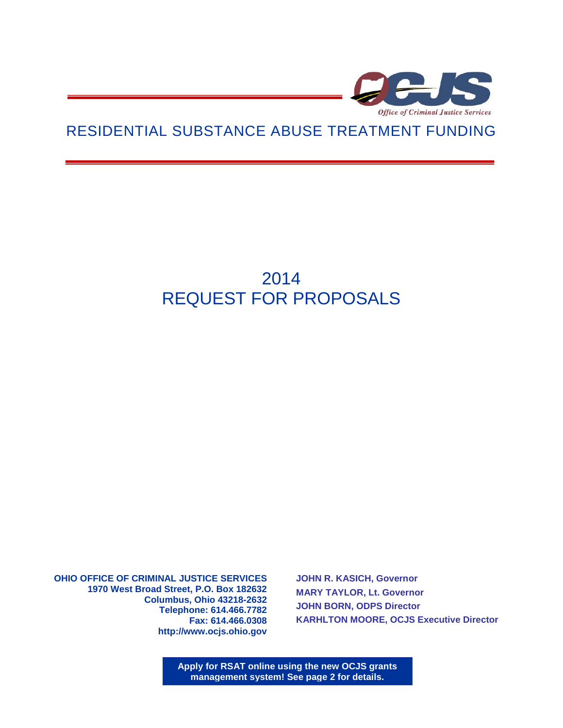

# RESIDENTIAL SUBSTANCE ABUSE TREATMENT FUNDING

# 2014 REQUEST FOR PROPOSALS

**OHIO OFFICE OF CRIMINAL JUSTICE SERVICES 1970 West Broad Street, P.O. Box 182632 Columbus, Ohio 43218-2632 Telephone: 614.466.7782 Fax: 614.466.0308 http://www.ocjs.ohio.gov** 

**JOHN R. KASICH, Governor MARY TAYLOR, Lt. Governor JOHN BORN, ODPS Director KARHLTON MOORE, OCJS Executive Director**

**Apply for RSAT online using the new OCJS grants management system! See page 2 for details.**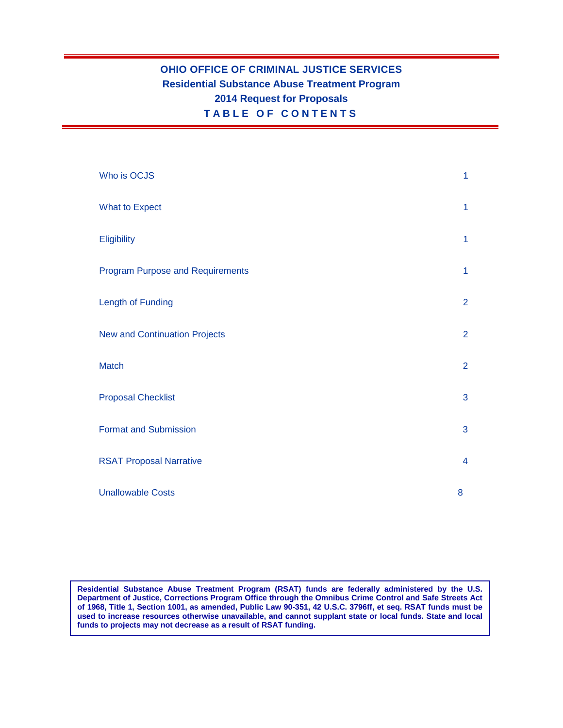# **OHIO OFFICE OF CRIMINAL JUSTICE SERVICES Residential Substance Abuse Treatment Program 2014 Request for Proposals TABLE O F C O NTENTS**

| Who is OCJS                             | 1              |
|-----------------------------------------|----------------|
| <b>What to Expect</b>                   | $\mathbf{1}$   |
| Eligibility                             | $\mathbf{1}$   |
| <b>Program Purpose and Requirements</b> | 1              |
| <b>Length of Funding</b>                | $\overline{2}$ |
| <b>New and Continuation Projects</b>    | $\overline{2}$ |
| <b>Match</b>                            | $\overline{2}$ |
| <b>Proposal Checklist</b>               | 3              |
| <b>Format and Submission</b>            | 3              |
| <b>RSAT Proposal Narrative</b>          | $\overline{4}$ |
| <b>Unallowable Costs</b>                | 8              |

**Residential Substance Abuse Treatment Program (RSAT) funds are federally administered by the U.S. Department of Justice, Corrections Program Office through the Omnibus Crime Control and Safe Streets Act of 1968, Title 1, Section 1001, as amended, Public Law 90-351, 42 U.S.C. 3796ff, et seq. RSAT funds must be used to increase resources otherwise unavailable, and cannot supplant state or local funds. State and local funds to projects may not decrease as a result of RSAT funding.**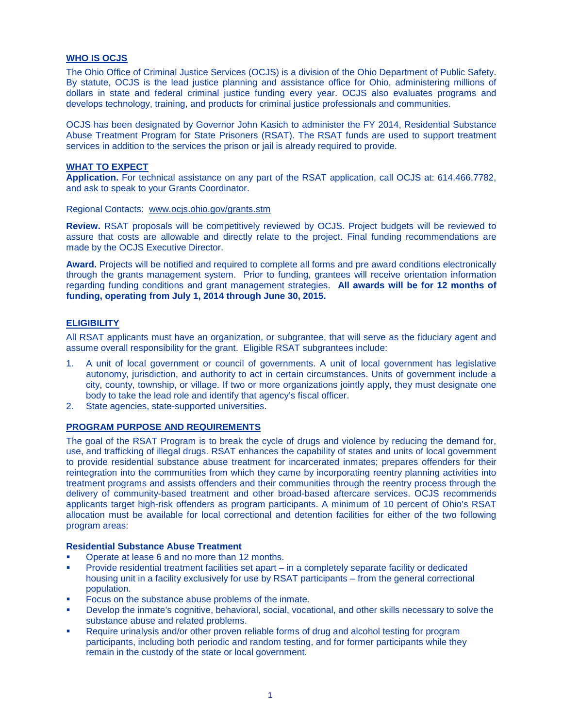# **WHO IS OCJS**

The Ohio Office of Criminal Justice Services (OCJS) is a division of the Ohio Department of Public Safety. By statute, OCJS is the lead justice planning and assistance office for Ohio, administering millions of dollars in state and federal criminal justice funding every year. OCJS also evaluates programs and develops technology, training, and products for criminal justice professionals and communities.

OCJS has been designated by Governor John Kasich to administer the FY 2014, Residential Substance Abuse Treatment Program for State Prisoners (RSAT). The RSAT funds are used to support treatment services in addition to the services the prison or jail is already required to provide.

## **WHAT TO EXPECT**

**Application.** For technical assistance on any part of the RSAT application, call OCJS at: 614.466.7782, and ask to speak to your Grants Coordinator.

Regional Contacts: [www.ocjs.ohio.gov/grants.stm](http://www.ocjs.ohio.gov/grants.stm)

**Review.** RSAT proposals will be competitively reviewed by OCJS. Project budgets will be reviewed to assure that costs are allowable and directly relate to the project. Final funding recommendations are made by the OCJS Executive Director.

**Award.** Projects will be notified and required to complete all forms and pre award conditions electronically through the grants management system. Prior to funding, grantees will receive orientation information regarding funding conditions and grant management strategies. **All awards will be for 12 months of funding, operating from July 1, 2014 through June 30, 2015.**

#### **ELIGIBILITY**

All RSAT applicants must have an organization, or subgrantee, that will serve as the fiduciary agent and assume overall responsibility for the grant. Eligible RSAT subgrantees include:

- 1. A unit of local government or council of governments. A unit of local government has legislative autonomy, jurisdiction, and authority to act in certain circumstances. Units of government include a city, county, township, or village. If two or more organizations jointly apply, they must designate one body to take the lead role and identify that agency's fiscal officer.
- 2. State agencies, state-supported universities.

# **PROGRAM PURPOSE AND REQUIREMENTS**

The goal of the RSAT Program is to break the cycle of drugs and violence by reducing the demand for, use, and trafficking of illegal drugs. RSAT enhances the capability of states and units of local government to provide residential substance abuse treatment for incarcerated inmates; prepares offenders for their reintegration into the communities from which they came by incorporating reentry planning activities into treatment programs and assists offenders and their communities through the reentry process through the delivery of community-based treatment and other broad-based aftercare services. OCJS recommends applicants target high-risk offenders as program participants. A minimum of 10 percent of Ohio's RSAT allocation must be available for local correctional and detention facilities for either of the two following program areas:

#### **Residential Substance Abuse Treatment**

- Operate at lease 6 and no more than 12 months.
- Provide residential treatment facilities set apart in a completely separate facility or dedicated housing unit in a facility exclusively for use by RSAT participants – from the general correctional population.
- **Focus on the substance abuse problems of the inmate.**
- Develop the inmate's cognitive, behavioral, social, vocational, and other skills necessary to solve the substance abuse and related problems.
- Require urinalysis and/or other proven reliable forms of drug and alcohol testing for program participants, including both periodic and random testing, and for former participants while they remain in the custody of the state or local government.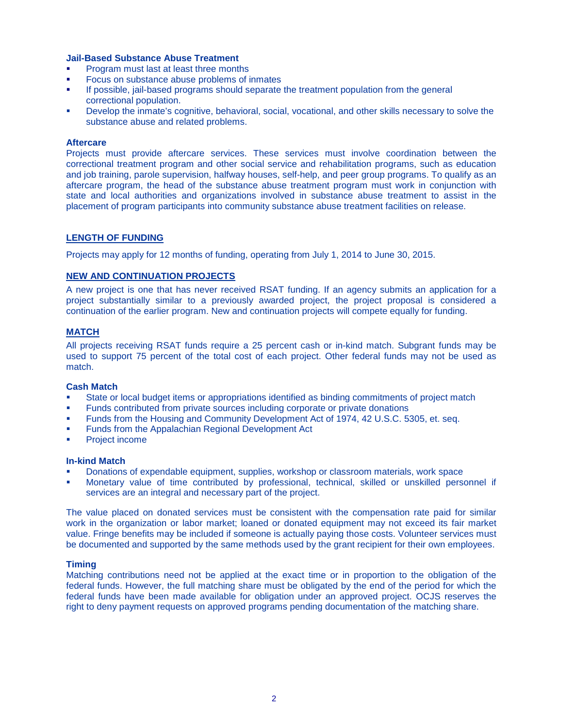#### **Jail-Based Substance Abuse Treatment**

- Program must last at least three months
- Focus on substance abuse problems of inmates
- If possible, jail-based programs should separate the treatment population from the general correctional population.
- Develop the inmate's cognitive, behavioral, social, vocational, and other skills necessary to solve the substance abuse and related problems.

#### **Aftercare**

Projects must provide aftercare services. These services must involve coordination between the correctional treatment program and other social service and rehabilitation programs, such as education and job training, parole supervision, halfway houses, self-help, and peer group programs. To qualify as an aftercare program, the head of the substance abuse treatment program must work in conjunction with state and local authorities and organizations involved in substance abuse treatment to assist in the placement of program participants into community substance abuse treatment facilities on release.

#### **LENGTH OF FUNDING**

Projects may apply for 12 months of funding, operating from July 1, 2014 to June 30, 2015.

### **NEW AND CONTINUATION PROJECTS**

A new project is one that has never received RSAT funding. If an agency submits an application for a project substantially similar to a previously awarded project, the project proposal is considered a continuation of the earlier program. New and continuation projects will compete equally for funding.

# **MATCH**

All projects receiving RSAT funds require a 25 percent cash or in-kind match. Subgrant funds may be used to support 75 percent of the total cost of each project. Other federal funds may not be used as match.

#### **Cash Match**

- State or local budget items or appropriations identified as binding commitments of project match
- Funds contributed from private sources including corporate or private donations
- Funds from the Housing and Community Development Act of 1974, 42 U.S.C. 5305, et. seq.
- Funds from the Appalachian Regional Development Act
- Project income

#### **In-kind Match**

- Donations of expendable equipment, supplies, workshop or classroom materials, work space
- Monetary value of time contributed by professional, technical, skilled or unskilled personnel if services are an integral and necessary part of the project.

The value placed on donated services must be consistent with the compensation rate paid for similar work in the organization or labor market; loaned or donated equipment may not exceed its fair market value. Fringe benefits may be included if someone is actually paying those costs. Volunteer services must be documented and supported by the same methods used by the grant recipient for their own employees.

#### **Timing**

Matching contributions need not be applied at the exact time or in proportion to the obligation of the federal funds. However, the full matching share must be obligated by the end of the period for which the federal funds have been made available for obligation under an approved project. OCJS reserves the right to deny payment requests on approved programs pending documentation of the matching share.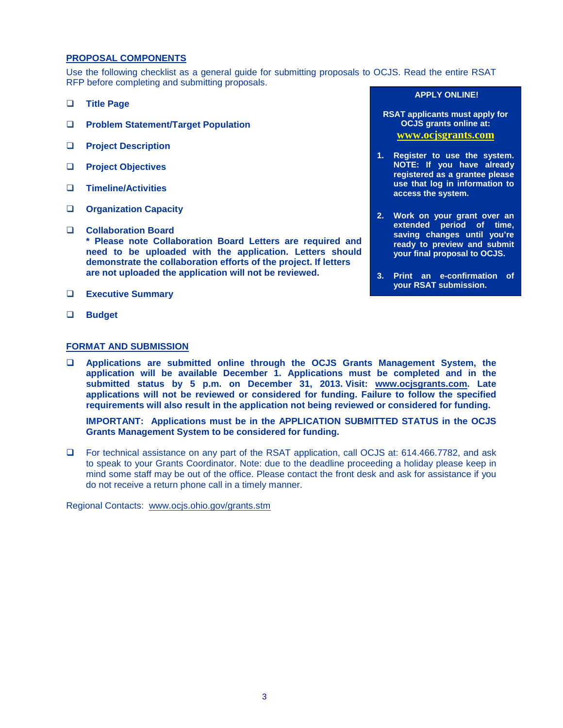## **PROPOSAL COMPONENTS**

Use the following checklist as a general guide for submitting proposals to OCJS. Read the entire RSAT RFP before completing and submitting proposals.

- **Title Page**
- **Problem Statement/Target Population**
- **Project Description**
- **Project Objectives**
- **Timeline/Activities**
- **Organization Capacity**
- **Collaboration Board \* Please note Collaboration Board Letters are required and need to be uploaded with the application. Letters should demonstrate the collaboration efforts of the project. If letters are not uploaded the application will not be reviewed.**
- **Executive Summary**
- **Budget**
- **FORMAT AND SUBMISSION Applications are submitted online through the OCJS Grants Management System, the application will be available December 1. Applications must be completed and in the submitted status by 5 p.m. on December 31, 2013. Visit: [www.ocjsgrants.com.](www.ocjsgrants.com) Late applications will not be reviewed or considered for funding. Failure to follow the specified**

**IMPORTANT: Applications must be in the APPLICATION SUBMITTED STATUS in the OCJS Grants Management System to be considered for funding.**

**requirements will also result in the application not being reviewed or considered for funding.**

 For technical assistance on any part of the RSAT application, call OCJS at: 614.466.7782, and ask to speak to your Grants Coordinator. Note: due to the deadline proceeding a holiday please keep in mind some staff may be out of the office. Please contact the front desk and ask for assistance if you do not receive a return phone call in a timely manner.

Regional Contacts: [www.ocjs.ohio.gov/grants.stm](http://www.ocjs.ohio.gov/grants.stm)

#### **APPLY ONLINE!**

- **RSAT applicants must apply for OCJS grants online at: <www.ocjsgrants.com>**
- **1. Register to use the system. NOTE: If you have already registered as a grantee please use that log in information to access the system.**
- **2. Work on your grant over an extended period of time, saving changes until you're ready to preview and submit your final proposal to OCJS.**
- **3. Print an e-confirmation of your RSAT submission.**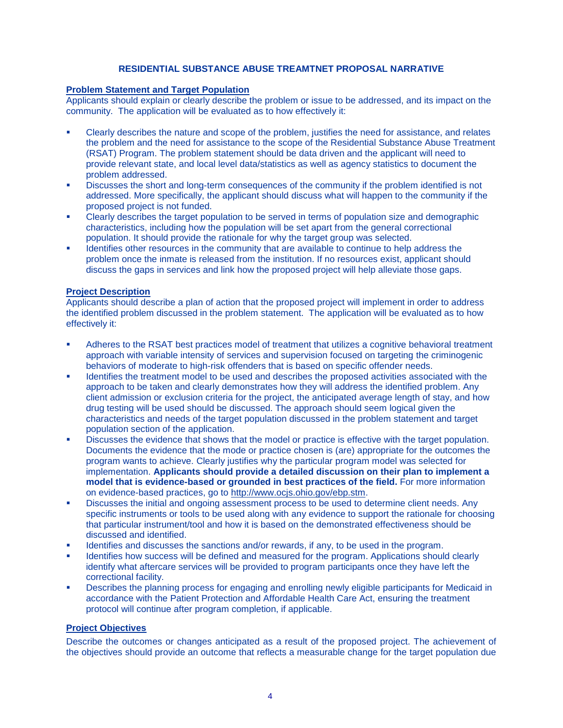# **RESIDENTIAL SUBSTANCE ABUSE TREAMTNET PROPOSAL NARRATIVE**

#### **Problem Statement and Target Population**

Applicants should explain or clearly describe the problem or issue to be addressed, and its impact on the community. The application will be evaluated as to how effectively it:

- Clearly describes the nature and scope of the problem, justifies the need for assistance, and relates the problem and the need for assistance to the scope of the Residential Substance Abuse Treatment (RSAT) Program. The problem statement should be data driven and the applicant will need to provide relevant state, and local level data/statistics as well as agency statistics to document the problem addressed.
- Discusses the short and long-term consequences of the community if the problem identified is not addressed. More specifically, the applicant should discuss what will happen to the community if the proposed project is not funded.
- Clearly describes the target population to be served in terms of population size and demographic characteristics, including how the population will be set apart from the general correctional population. It should provide the rationale for why the target group was selected.
- Identifies other resources in the community that are available to continue to help address the problem once the inmate is released from the institution. If no resources exist, applicant should discuss the gaps in services and link how the proposed project will help alleviate those gaps.

#### **Project Description**

Applicants should describe a plan of action that the proposed project will implement in order to address the identified problem discussed in the problem statement. The application will be evaluated as to how effectively it:

- Adheres to the RSAT best practices model of treatment that utilizes a cognitive behavioral treatment approach with variable intensity of services and supervision focused on targeting the criminogenic behaviors of moderate to high-risk offenders that is based on specific offender needs.
- Identifies the treatment model to be used and describes the proposed activities associated with the approach to be taken and clearly demonstrates how they will address the identified problem. Any client admission or exclusion criteria for the project, the anticipated average length of stay, and how drug testing will be used should be discussed. The approach should seem logical given the characteristics and needs of the target population discussed in the problem statement and target population section of the application.
- Discusses the evidence that shows that the model or practice is effective with the target population. Documents the evidence that the mode or practice chosen is (are) appropriate for the outcomes the program wants to achieve. Clearly justifies why the particular program model was selected for implementation. **Applicants should provide a detailed discussion on their plan to implement a model that is evidence-based or grounded in best practices of the field.** For more information on evidence-based practices, go to [http://www.ocjs.ohio.gov/ebp.stm.](http://www.ocjs.ohio.gov/ebp.stm)
- Discusses the initial and ongoing assessment process to be used to determine client needs. Any specific instruments or tools to be used along with any evidence to support the rationale for choosing that particular instrument/tool and how it is based on the demonstrated effectiveness should be discussed and identified.
- Identifies and discusses the sanctions and/or rewards, if any, to be used in the program.
- Identifies how success will be defined and measured for the program. Applications should clearly identify what aftercare services will be provided to program participants once they have left the correctional facility.
- Describes the planning process for engaging and enrolling newly eligible participants for Medicaid in accordance with the Patient Protection and Affordable Health Care Act, ensuring the treatment protocol will continue after program completion, if applicable.

# **Project Objectives**

Describe the outcomes or changes anticipated as a result of the proposed project. The achievement of the objectives should provide an outcome that reflects a measurable change for the target population due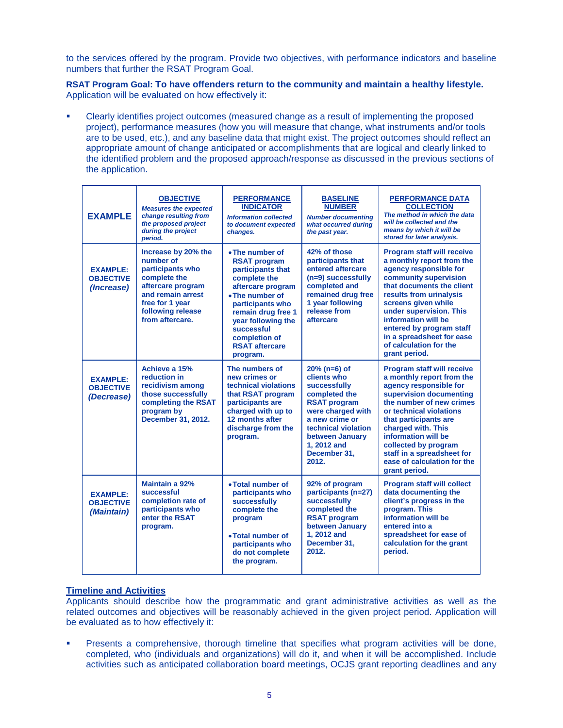to the services offered by the program. Provide two objectives, with performance indicators and baseline numbers that further the RSAT Program Goal.

**RSAT Program Goal: To have offenders return to the community and maintain a healthy lifestyle.** Application will be evaluated on how effectively it:

 Clearly identifies project outcomes (measured change as a result of implementing the proposed project), performance measures (how you will measure that change, what instruments and/or tools are to be used, etc.), and any baseline data that might exist. The project outcomes should reflect an appropriate amount of change anticipated or accomplishments that are logical and clearly linked to the identified problem and the proposed approach/response as discussed in the previous sections of the application.

| <b>EXAMPLE</b>                                    | <b>OBJECTIVE</b><br><b>Measures the expected</b><br>change resulting from<br>the proposed project<br>during the project<br>period.                                        | <b>PERFORMANCE</b><br><b>INDICATOR</b><br><b>Information collected</b><br>to document expected<br>changes.                                                                                                                                              | <b>BASELINE</b><br><b>NUMBER</b><br><b>Number documenting</b><br>what occurred during<br>the past year.                                                                                                        | <b>PERFORMANCE DATA</b><br><b>COLLECTION</b><br>The method in which the data<br>will be collected and the<br>means by which it will be<br>stored for later analysis.                                                                                                                                                                                   |
|---------------------------------------------------|---------------------------------------------------------------------------------------------------------------------------------------------------------------------------|---------------------------------------------------------------------------------------------------------------------------------------------------------------------------------------------------------------------------------------------------------|----------------------------------------------------------------------------------------------------------------------------------------------------------------------------------------------------------------|--------------------------------------------------------------------------------------------------------------------------------------------------------------------------------------------------------------------------------------------------------------------------------------------------------------------------------------------------------|
| <b>EXAMPLE:</b><br><b>OBJECTIVE</b><br>(Increase) | Increase by 20% the<br>number of<br>participants who<br>complete the<br>aftercare program<br>and remain arrest<br>free for 1 year<br>following release<br>from aftercare. | • The number of<br><b>RSAT program</b><br>participants that<br>complete the<br>aftercare program<br>• The number of<br>participants who<br>remain drug free 1<br>year following the<br>successful<br>completion of<br><b>RSAT aftercare</b><br>program. | 42% of those<br>participants that<br>entered aftercare<br>$(n=9)$ successfully<br>completed and<br>remained drug free<br>1 year following<br>release from<br>aftercare                                         | <b>Program staff will receive</b><br>a monthly report from the<br>agency responsible for<br>community supervision<br>that documents the client<br>results from urinalysis<br>screens given while<br>under supervision. This<br>information will be<br>entered by program staff<br>in a spreadsheet for ease<br>of calculation for the<br>grant period. |
| <b>EXAMPLE:</b><br><b>OBJECTIVE</b><br>(Decrease) | Achieve a 15%<br>reduction in<br>recidivism among<br>those successfully<br>completing the RSAT<br>program by<br>December 31, 2012.                                        | The numbers of<br>new crimes or<br>technical violations<br>that RSAT program<br>participants are<br>charged with up to<br>12 months after<br>discharge from the<br>program.                                                                             | $20%$ (n=6) of<br>clients who<br>successfully<br>completed the<br><b>RSAT program</b><br>were charged with<br>a new crime or<br>technical violation<br>between January<br>1, 2012 and<br>December 31.<br>2012. | <b>Program staff will receive</b><br>a monthly report from the<br>agency responsible for<br>supervision documenting<br>the number of new crimes<br>or technical violations<br>that participants are<br>charged with. This<br>information will be<br>collected by program<br>staff in a spreadsheet for<br>ease of calculation for the<br>grant period. |
| <b>EXAMPLE:</b><br><b>OBJECTIVE</b><br>(Maintain) | Maintain a 92%<br>successful<br>completion rate of<br>participants who<br>enter the RSAT<br>program.                                                                      | • Total number of<br>participants who<br>successfully<br>complete the<br>program<br>• Total number of<br>participants who<br>do not complete<br>the program.                                                                                            | 92% of program<br>participants (n=27)<br>successfully<br>completed the<br><b>RSAT program</b><br>between January<br>1, 2012 and<br>December 31.<br>2012.                                                       | <b>Program staff will collect</b><br>data documenting the<br>client's progress in the<br>program. This<br>information will be<br>entered into a<br>spreadsheet for ease of<br>calculation for the grant<br>period.                                                                                                                                     |

# **Timeline and Activities**

Applicants should describe how the programmatic and grant administrative activities as well as the related outcomes and objectives will be reasonably achieved in the given project period. Application will be evaluated as to how effectively it:

 Presents a comprehensive, thorough timeline that specifies what program activities will be done, completed, who (individuals and organizations) will do it, and when it will be accomplished. Include activities such as anticipated collaboration board meetings, OCJS grant reporting deadlines and any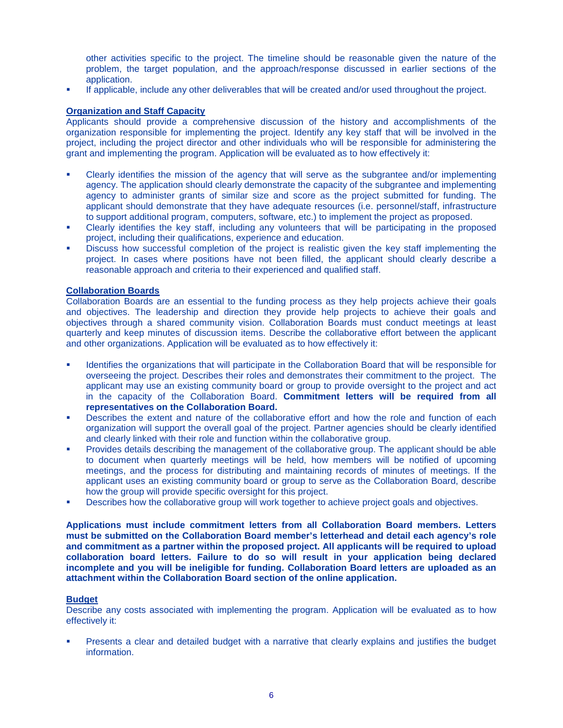other activities specific to the project. The timeline should be reasonable given the nature of the problem, the target population, and the approach/response discussed in earlier sections of the application.

If applicable, include any other deliverables that will be created and/or used throughout the project.

# **Organization and Staff Capacity**

Applicants should provide a comprehensive discussion of the history and accomplishments of the organization responsible for implementing the project. Identify any key staff that will be involved in the project, including the project director and other individuals who will be responsible for administering the grant and implementing the program. Application will be evaluated as to how effectively it:

- Clearly identifies the mission of the agency that will serve as the subgrantee and/or implementing agency. The application should clearly demonstrate the capacity of the subgrantee and implementing agency to administer grants of similar size and score as the project submitted for funding. The applicant should demonstrate that they have adequate resources (i.e. personnel/staff, infrastructure to support additional program, computers, software, etc.) to implement the project as proposed.
- Clearly identifies the key staff, including any volunteers that will be participating in the proposed project, including their qualifications, experience and education.
- Discuss how successful completion of the project is realistic given the key staff implementing the project. In cases where positions have not been filled, the applicant should clearly describe a reasonable approach and criteria to their experienced and qualified staff.

#### **Collaboration Boards**

Collaboration Boards are an essential to the funding process as they help projects achieve their goals and objectives. The leadership and direction they provide help projects to achieve their goals and objectives through a shared community vision. Collaboration Boards must conduct meetings at least quarterly and keep minutes of discussion items. Describe the collaborative effort between the applicant and other organizations. Application will be evaluated as to how effectively it:

- Identifies the organizations that will participate in the Collaboration Board that will be responsible for overseeing the project. Describes their roles and demonstrates their commitment to the project. The applicant may use an existing community board or group to provide oversight to the project and act in the capacity of the Collaboration Board. **Commitment letters will be required from all representatives on the Collaboration Board.**
- Describes the extent and nature of the collaborative effort and how the role and function of each organization will support the overall goal of the project. Partner agencies should be clearly identified and clearly linked with their role and function within the collaborative group.
- Provides details describing the management of the collaborative group. The applicant should be able to document when quarterly meetings will be held, how members will be notified of upcoming meetings, and the process for distributing and maintaining records of minutes of meetings. If the applicant uses an existing community board or group to serve as the Collaboration Board, describe how the group will provide specific oversight for this project.
- Describes how the collaborative group will work together to achieve project goals and objectives.

**Applications must include commitment letters from all Collaboration Board members. Letters must be submitted on the Collaboration Board member's letterhead and detail each agency's role and commitment as a partner within the proposed project. All applicants will be required to upload collaboration board letters. Failure to do so will result in your application being declared incomplete and you will be ineligible for funding. Collaboration Board letters are uploaded as an attachment within the Collaboration Board section of the online application.** 

# **Budget**

Describe any costs associated with implementing the program. Application will be evaluated as to how effectively it:

 Presents a clear and detailed budget with a narrative that clearly explains and justifies the budget information.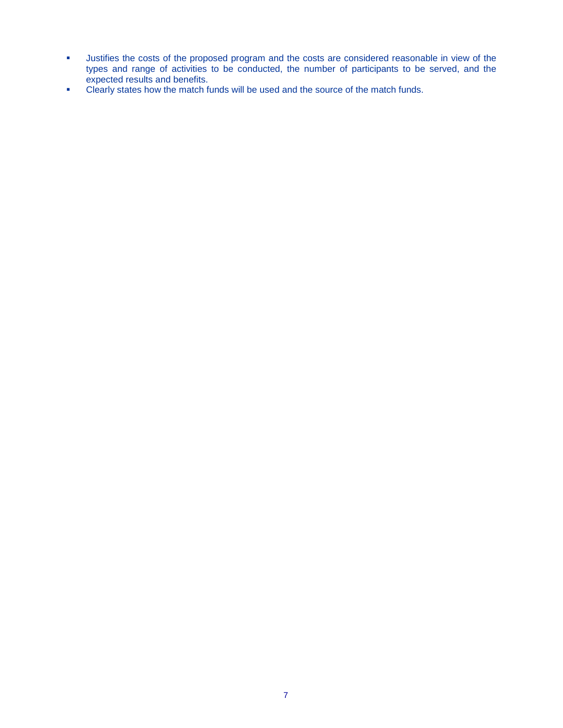- **Justifies the costs of the proposed program and the costs are considered reasonable in view of the** types and range of activities to be conducted, the number of participants to be served, and the expected results and benefits.
- **Clearly states how the match funds will be used and the source of the match funds.**